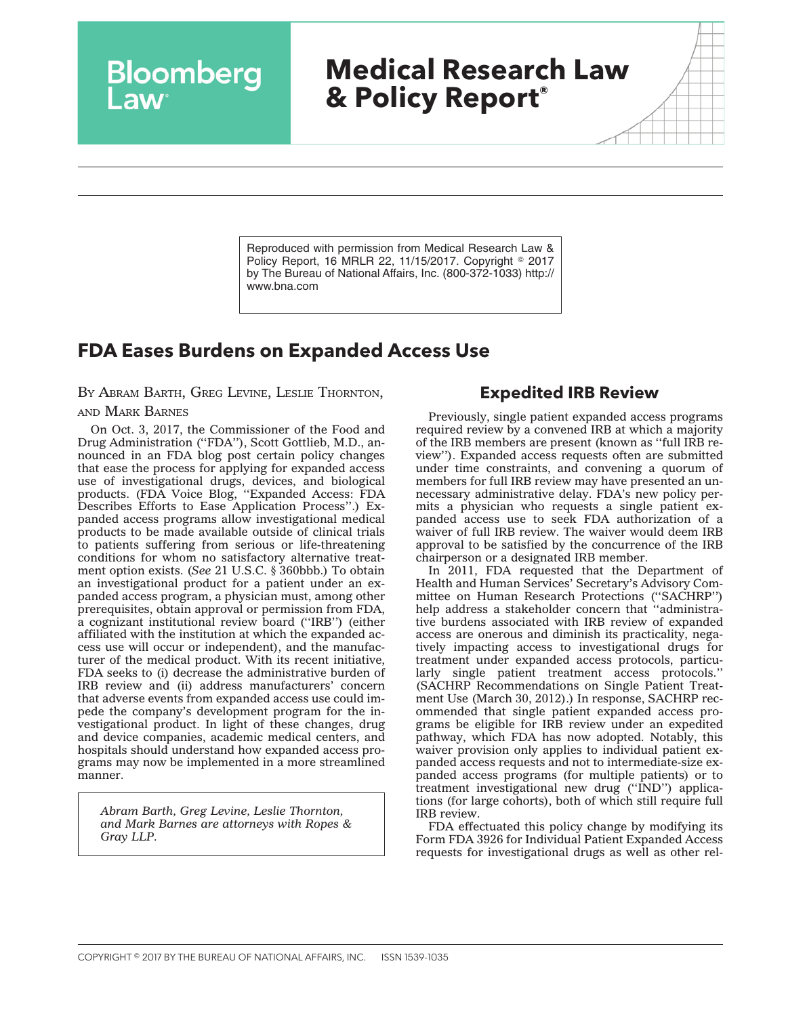# **Medical Research Law & Policy Report®**

Reproduced with permission from Medical Research Law & Policy Report, 16 MRLR 22, 11/15/2017. Copyright © 2017 by The Bureau of National Affairs, Inc. (800-372-1033) http:// www.bna.com

## **FDA Eases Burdens on Expanded Access Use**

BY ABRAM BARTH, GREG LEVINE, LESLIE THORNTON,

Bloomberg

#### AND MARK BARNES

On Oct. 3, 2017, the Commissioner of the Food and Drug Administration (''FDA''), Scott Gottlieb, M.D., announced in an FDA blog post certain policy changes that ease the process for applying for expanded access use of investigational drugs, devices, and biological products. (FDA Voice Blog, ''Expanded Access: FDA Describes Efforts to Ease Application Process''.) Expanded access programs allow investigational medical products to be made available outside of clinical trials to patients suffering from serious or life-threatening conditions for whom no satisfactory alternative treatment option exists. (*See* 21 U.S.C. § 360bbb.) To obtain an investigational product for a patient under an expanded access program, a physician must, among other prerequisites, obtain approval or permission from FDA, a cognizant institutional review board (''IRB'') (either affiliated with the institution at which the expanded access use will occur or independent), and the manufacturer of the medical product. With its recent initiative, FDA seeks to (i) decrease the administrative burden of IRB review and (ii) address manufacturers' concern that adverse events from expanded access use could impede the company's development program for the investigational product. In light of these changes, drug and device companies, academic medical centers, and hospitals should understand how expanded access programs may now be implemented in a more streamlined manner.

*Abram Barth, Greg Levine, Leslie Thornton, and Mark Barnes are attorneys with Ropes & Gray LLP.*

### **Expedited IRB Review**

Previously, single patient expanded access programs required review by a convened IRB at which a majority of the IRB members are present (known as ''full IRB review''). Expanded access requests often are submitted under time constraints, and convening a quorum of members for full IRB review may have presented an unnecessary administrative delay. FDA's new policy permits a physician who requests a single patient expanded access use to seek FDA authorization of a waiver of full IRB review. The waiver would deem IRB approval to be satisfied by the concurrence of the IRB chairperson or a designated IRB member.

In 2011, FDA requested that the Department of Health and Human Services' Secretary's Advisory Committee on Human Research Protections (''SACHRP'') help address a stakeholder concern that "administrative burdens associated with IRB review of expanded access are onerous and diminish its practicality, negatively impacting access to investigational drugs for treatment under expanded access protocols, particularly single patient treatment access protocols.'' (SACHRP Recommendations on Single Patient Treatment Use (March 30, 2012).) In response, SACHRP recommended that single patient expanded access programs be eligible for IRB review under an expedited pathway, which FDA has now adopted. Notably, this waiver provision only applies to individual patient expanded access requests and not to intermediate-size expanded access programs (for multiple patients) or to treatment investigational new drug (''IND'') applications (for large cohorts), both of which still require full IRB review.

FDA effectuated this policy change by modifying its Form FDA 3926 for Individual Patient Expanded Access requests for investigational drugs as well as other rel-